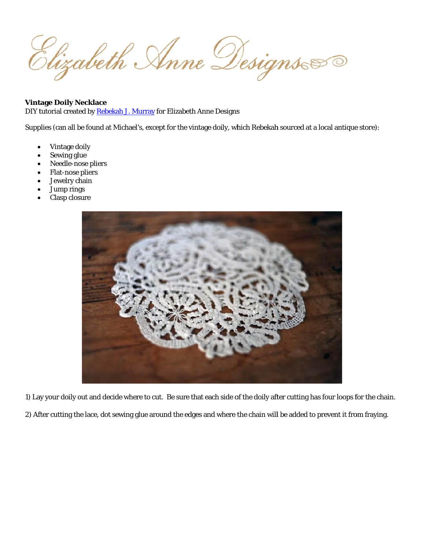Elizabeth Anne Designs

## **Vintage Doily Necklace**

DIY tutorial created by Rebekah J. Murray for Elizabeth Anne Designs

Supplies (can all be found at Michael's, except for the vintage doily, which Rebekah sourced at a local antique store):

- Vintage doily
- Sewing glue
- Needle-nose pliers
- Flat-nose pliers
- Jewelry chain
- Jump rings
- Clasp closure



1) Lay your doily out and decide where to cut. Be sure that each side of the doily after cutting has four loops for the chain.

2) After cutting the lace, dot sewing glue around the edges and where the chain will be added to prevent it from fraying.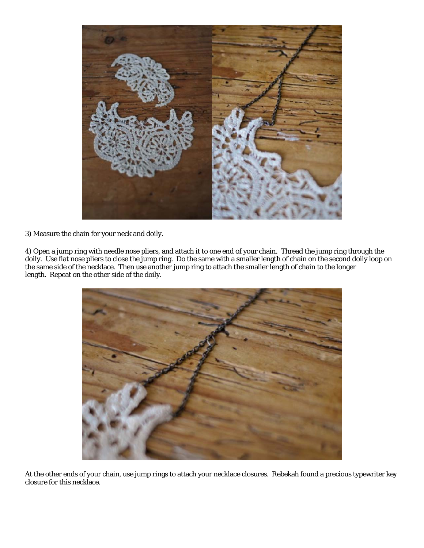

3) Measure the chain for your neck and doily.

4) Open a jump ring with needle nose pliers, and attach it to one end of your chain. Thread the jump ring through the doily the s length. Repeat on the other side of the doily. y. Use flat nos ame side of th se pliers to clo he necklace. T ose the jump Then use ano ring. Do the other jump rin same with a s ng to attach th smaller length he smaller len h of chain on ngth of chain the second d to the longer oily loop on



At the other ends of your chain, use jump rings to attach your necklace closures. Rebekah found a precious typewriter key closure for this necklace.